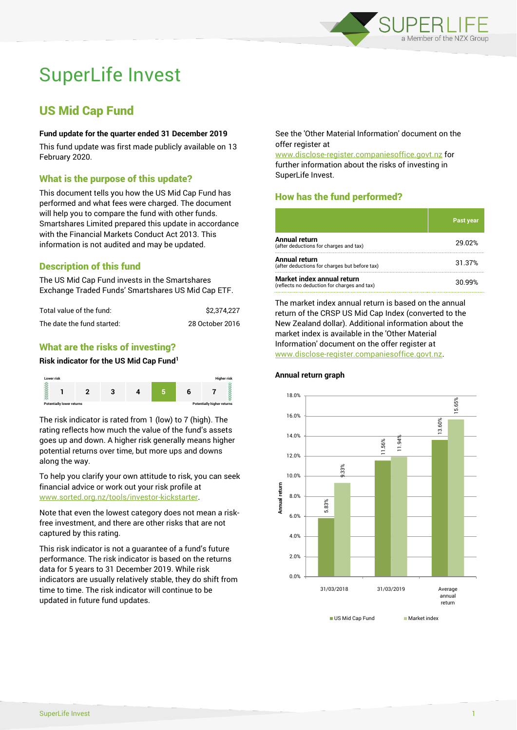

# SuperLife Invest

# US Mid Cap Fund

#### **Fund update for the quarter ended 31 December 2019**

This fund update was first made publicly available on 13 February 2020.

### What is the purpose of this update?

This document tells you how the US Mid Cap Fund has performed and what fees were charged. The document will help you to compare the fund with other funds. Smartshares Limited prepared this update in accordance with the Financial Markets Conduct Act 2013. This information is not audited and may be updated.

# Description of this fund

The US Mid Cap Fund invests in the Smartshares Exchange Traded Funds' Smartshares US Mid Cap ETF.

| Total value of the fund:   | \$2.374.227     |
|----------------------------|-----------------|
| The date the fund started: | 28 October 2016 |

### What are the risks of investing?

#### **Risk indicator for the US Mid Cap Fund<sup>1</sup>**



The risk indicator is rated from 1 (low) to 7 (high). The rating reflects how much the value of the fund's assets goes up and down. A higher risk generally means higher potential returns over time, but more ups and downs along the way.

To help you clarify your own attitude to risk, you can seek financial advice or work out your risk profile at [www.sorted.org.nz/tools/investor-kickstarter.](http://www.sorted.org.nz/tools/investor-kickstarter)

Note that even the lowest category does not mean a riskfree investment, and there are other risks that are not captured by this rating.

This risk indicator is not a guarantee of a fund's future performance. The risk indicator is based on the returns data for 5 years to 31 December 2019. While risk indicators are usually relatively stable, they do shift from time to time. The risk indicator will continue to be updated in future fund updates.

See the 'Other Material Information' document on the offer register at

www.disclose-register.companiesoffice.govt.nz for further information about the risks of investing in SuperLife Invest.

# How has the fund performed?

|                                                                           | Past year |
|---------------------------------------------------------------------------|-----------|
| <b>Annual return</b><br>(after deductions for charges and tax)            | 29.02%    |
| Annual return<br>(after deductions for charges but before tax)            | 31.37%    |
| Market index annual return<br>(reflects no deduction for charges and tax) | 30.99%    |

The market index annual return is based on the annual return of the CRSP US Mid Cap Index (converted to the New Zealand dollar). Additional information about the market index is available in the 'Other Material Information' document on the offer register at www.disclose-register.companiesoffice.govt.nz.



#### **Annual return graph**

US Mid Cap Fund Market index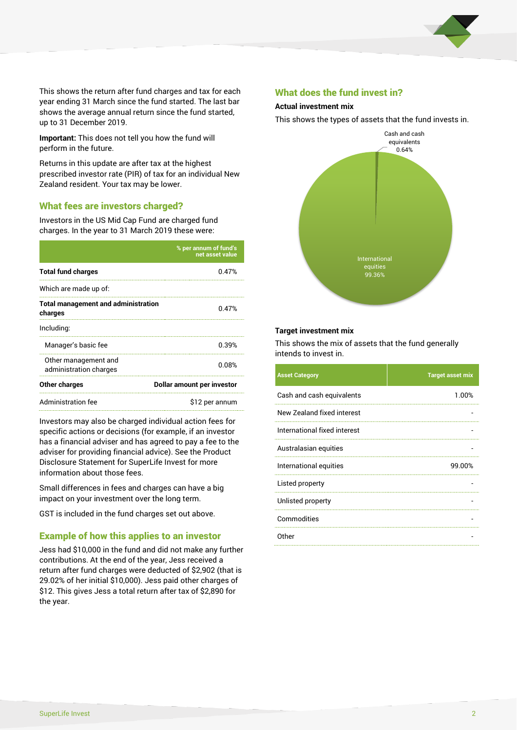

This shows the return after fund charges and tax for each year ending 31 March since the fund started. The last bar shows the average annual return since the fund started, up to 31 December 2019.

**Important:** This does not tell you how the fund will perform in the future.

Returns in this update are after tax at the highest prescribed investor rate (PIR) of tax for an individual New Zealand resident. Your tax may be lower.

#### What fees are investors charged?

Investors in the US Mid Cap Fund are charged fund charges. In the year to 31 March 2019 these were:

|                                                       | % per annum of fund's<br>net asset value |  |
|-------------------------------------------------------|------------------------------------------|--|
| <b>Total fund charges</b>                             | 0.47%                                    |  |
| Which are made up of:                                 |                                          |  |
| <b>Total management and administration</b><br>charges | 0.47%                                    |  |
| Including:                                            |                                          |  |
| Manager's basic fee                                   | 0.39%                                    |  |
| Other management and<br>administration charges        | 0.08%                                    |  |
| Other charges                                         | Dollar amount per investor               |  |
| Administration fee                                    | \$12 per annum                           |  |

Investors may also be charged individual action fees for specific actions or decisions (for example, if an investor has a financial adviser and has agreed to pay a fee to the adviser for providing financial advice). See the Product Disclosure Statement for SuperLife Invest for more information about those fees.

Small differences in fees and charges can have a big impact on your investment over the long term.

GST is included in the fund charges set out above.

#### Example of how this applies to an investor

Jess had \$10,000 in the fund and did not make any further contributions. At the end of the year, Jess received a return after fund charges were deducted of \$2,902 (that is 29.02% of her initial \$10,000). Jess paid other charges of \$12. This gives Jess a total return after tax of \$2,890 for the year.

#### What does the fund invest in?

#### **Actual investment mix**

This shows the types of assets that the fund invests in.



#### **Target investment mix**

This shows the mix of assets that the fund generally intends to invest in.

| <b>Asset Category</b>        | <b>Target asset mix</b> |
|------------------------------|-------------------------|
| Cash and cash equivalents    | 1.00%                   |
| New Zealand fixed interest   |                         |
| International fixed interest |                         |
| Australasian equities        |                         |
| International equities       | 99.00%                  |
| Listed property              |                         |
| Unlisted property            |                         |
| Commodities                  |                         |
| Other                        |                         |